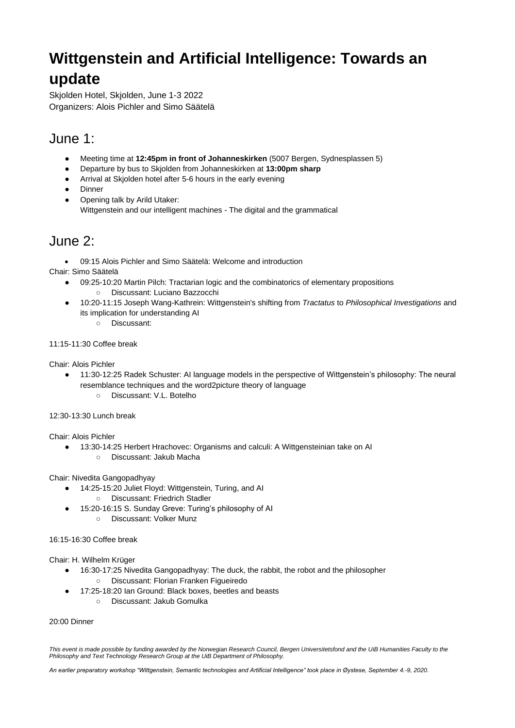# **Wittgenstein and Artificial Intelligence: Towards an update**

Skjolden Hotel, Skjolden, June 1-3 2022 Organizers: Alois Pichler and Simo Säätelä

### June 1:

- Meeting time at **12:45pm in front of Johanneskirken** (5007 Bergen, Sydnesplassen 5)
- Departure by bus to Skjolden from Johanneskirken at **13:00pm sharp**
- Arrival at Skjolden hotel after 5-6 hours in the early evening
- Dinner
- Opening talk by Arild Utaker: Wittgenstein and our intelligent machines - The digital and the grammatical

### June 2:

• 09:15 Alois Pichler and Simo Säätelä: Welcome and introduction

Chair: Simo Säätelä

- 09:25-10:20 Martin Pilch: Tractarian logic and the combinatorics of elementary propositions
	- Discussant: Luciano Bazzocchi
- 10:20-11:15 Joseph Wang-Kathrein: Wittgenstein's shifting from *Tractatus* to *Philosophical Investigations* and its implication for understanding AI
	- Discussant:

#### 11:15-11:30 Coffee break

Chair: Alois Pichler

- 11:30-12:25 Radek Schuster: AI language models in the perspective of Wittgenstein's philosophy: The neural resemblance techniques and the word2picture theory of language
	- Discussant: V.L. Botelho

#### 12:30-13:30 Lunch break

Chair: Alois Pichler

- 13:30-14:25 Herbert Hrachovec: Organisms and calculi: A Wittgensteinian take on AI
	- Discussant: Jakub Macha

Chair: Nivedita Gangopadhyay

- 14:25-15:20 Juliet Floyd: Wittgenstein, Turing, and AI
	- Discussant: Friedrich Stadler
- 15:20-16:15 S. Sunday Greve: Turing's philosophy of AI
	- Discussant: Volker Munz

16:15-16:30 Coffee break

Chair: H. Wilhelm Krüger

- 16:30-17:25 Nivedita Gangopadhyay: The duck, the rabbit, the robot and the philosopher
	- Discussant: Florian Franken Figueiredo
- 17:25-18:20 Ian Ground: Black boxes, beetles and beasts
	- Discussant: Jakub Gomulka

#### 20:00 Dinner

*This event is made possible by funding awarded by the Norwegian Research Council, Bergen Universitetsfond and the UiB Humanities Faculty to the Philosophy and Text Technology Research Group at the UiB Department of Philosophy.*

*An earlier preparatory workshop "Wittgenstein, Semantic technologies and Artificial Intelligence" took place in Øystese, September 4.-9, 2020.*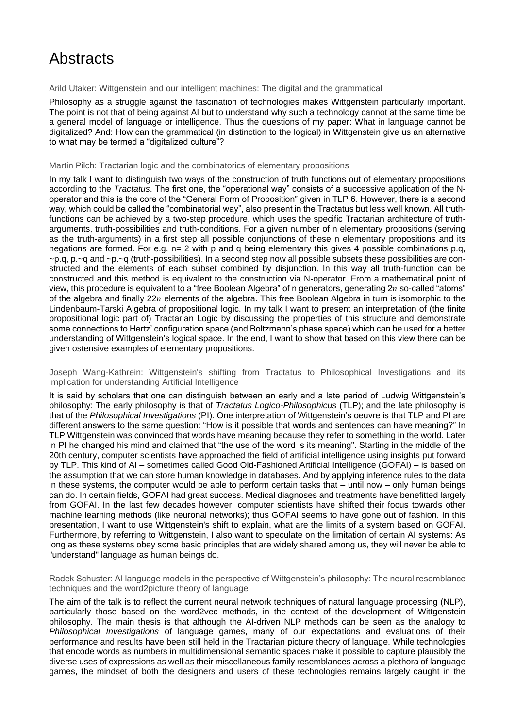## **Abstracts**

Arild Utaker: Wittgenstein and our intelligent machines: The digital and the grammatical

Philosophy as a struggle against the fascination of technologies makes Wittgenstein particularly important. The point is not that of being against AI but to understand why such a technology cannot at the same time be a general model of language or intelligence. Thus the questions of my paper: What in language cannot be digitalized? And: How can the grammatical (in distinction to the logical) in Wittgenstein give us an alternative to what may be termed a "digitalized culture"?

#### Martin Pilch: Tractarian logic and the combinatorics of elementary propositions

In my talk I want to distinguish two ways of the construction of truth functions out of elementary propositions according to the *Tractatus*. The first one, the "operational way" consists of a successive application of the Noperator and this is the core of the "General Form of Proposition" given in TLP 6. However, there is a second way, which could be called the "combinatorial way", also present in the Tractatus but less well known. All truthfunctions can be achieved by a two-step procedure, which uses the specific Tractarian architecture of trutharguments, truth-possibilities and truth-conditions. For a given number of n elementary propositions (serving as the truth-arguments) in a first step all possible conjunctions of these n elementary propositions and its negations are formed. For e.g. n= 2 with p and q being elementary this gives 4 possible combinations p.q, ~p.q, p.~q and ~p.~q (truth-possibilities). In a second step now all possible subsets these possibilities are constructed and the elements of each subset combined by disjunction. In this way all truth-function can be constructed and this method is equivalent to the construction via N-operator. From a mathematical point of view, this procedure is equivalent to a "free Boolean Algebra" of n generators, generating  $2n$  so-called "atoms" of the algebra and finally  $22n$  elements of the algebra. This free Boolean Algebra in turn is isomorphic to the Lindenbaum-Tarski Algebra of propositional logic. In my talk I want to present an interpretation of (the finite propositional logic part of) Tractarian Logic by discussing the properties of this structure and demonstrate some connections to Hertz' configuration space (and Boltzmann's phase space) which can be used for a better understanding of Wittgenstein's logical space. In the end, I want to show that based on this view there can be given ostensive examples of elementary propositions.

Joseph Wang-Kathrein: Wittgenstein's shifting from Tractatus to Philosophical Investigations and its implication for understanding Artificial Intelligence

It is said by scholars that one can distinguish between an early and a late period of Ludwig Wittgenstein's philosophy: The early philosophy is that of *Tractatus Logico-Philosophicus* (TLP); and the late philosophy is that of the *Philosophical Investigations* (PI). One interpretation of Wittgenstein's oeuvre is that TLP and PI are different answers to the same question: "How is it possible that words and sentences can have meaning?" In TLP Wittgenstein was convinced that words have meaning because they refer to something in the world. Later in PI he changed his mind and claimed that "the use of the word is its meaning". Starting in the middle of the 20th century, computer scientists have approached the field of artificial intelligence using insights put forward by TLP. This kind of AI – sometimes called Good Old-Fashioned Artificial Intelligence (GOFAI) – is based on the assumption that we can store human knowledge in databases. And by applying inference rules to the data in these systems, the computer would be able to perform certain tasks that – until now – only human beings can do. In certain fields, GOFAI had great success. Medical diagnoses and treatments have benefitted largely from GOFAI. In the last few decades however, computer scientists have shifted their focus towards other machine learning methods (like neuronal networks); thus GOFAI seems to have gone out of fashion. In this presentation, I want to use Wittgenstein's shift to explain, what are the limits of a system based on GOFAI. Furthermore, by referring to Wittgenstein, I also want to speculate on the limitation of certain AI systems: As long as these systems obey some basic principles that are widely shared among us, they will never be able to "understand" language as human beings do.

Radek Schuster: AI language models in the perspective of Wittgenstein's philosophy: The neural resemblance techniques and the word2picture theory of language

The aim of the talk is to reflect the current neural network techniques of natural language processing (NLP), particularly those based on the word2vec methods, in the context of the development of Wittgenstein philosophy. The main thesis is that although the AI-driven NLP methods can be seen as the analogy to *Philosophical Investigations* of language games, many of our expectations and evaluations of their performance and results have been still held in the Tractarian picture theory of language. While technologies that encode words as numbers in multidimensional semantic spaces make it possible to capture plausibly the diverse uses of expressions as well as their miscellaneous family resemblances across a plethora of language games, the mindset of both the designers and users of these technologies remains largely caught in the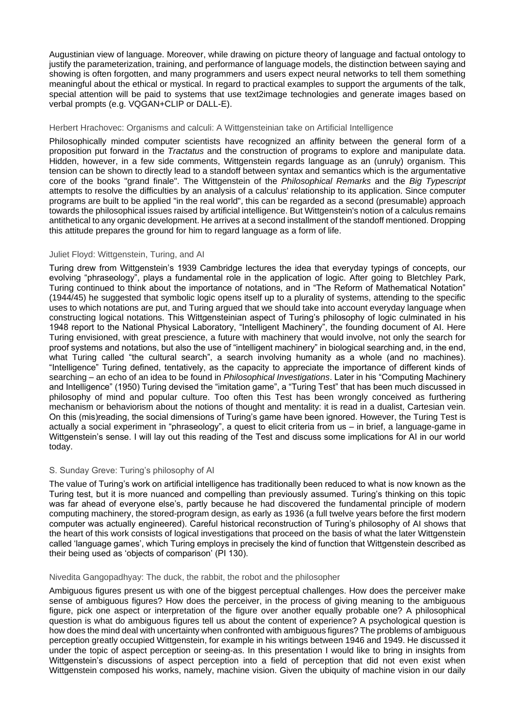Augustinian view of language. Moreover, while drawing on picture theory of language and factual ontology to justify the parameterization, training, and performance of language models, the distinction between saying and showing is often forgotten, and many programmers and users expect neural networks to tell them something meaningful about the ethical or mystical. In regard to practical examples to support the arguments of the talk, special attention will be paid to systems that use text2image technologies and generate images based on verbal prompts (e.g. VQGAN+CLIP or DALL-E).

#### Herbert Hrachovec: Organisms and calculi: A Wittgensteinian take on Artificial Intelligence

Philosophically minded computer scientists have recognized an affinity between the general form of a proposition put forward in the *Tractatus* and the construction of programs to explore and manipulate data. Hidden, however, in a few side comments, Wittgenstein regards language as an (unruly) organism. This tension can be shown to directly lead to a standoff between syntax and semantics which is the argumentative core of the books "grand finale". The Wittgenstein of the *Philosophical Remarks* and the *Big Typescript* attempts to resolve the difficulties by an analysis of a calculus' relationship to its application. Since computer programs are built to be applied "in the real world", this can be regarded as a second (presumable) approach towards the philosophical issues raised by artificial intelligence. But Wittgenstein's notion of a calculus remains antithetical to any organic development. He arrives at a second installment of the standoff mentioned. Dropping this attitude prepares the ground for him to regard language as a form of life.

#### Juliet Floyd: Wittgenstein, Turing, and AI

Turing drew from Wittgenstein's 1939 Cambridge lectures the idea that everyday typings of concepts, our evolving "phraseology", plays a fundamental role in the application of logic. After going to Bletchley Park, Turing continued to think about the importance of notations, and in "The Reform of Mathematical Notation" (1944/45) he suggested that symbolic logic opens itself up to a plurality of systems, attending to the specific uses to which notations are put, and Turing argued that we should take into account everyday language when constructing logical notations. This Wittgensteinian aspect of Turing's philosophy of logic culminated in his 1948 report to the National Physical Laboratory, "Intelligent Machinery", the founding document of AI. Here Turing envisioned, with great prescience, a future with machinery that would involve, not only the search for proof systems and notations, but also the use of "intelligent machinery" in biological searching and, in the end, what Turing called "the cultural search", a search involving humanity as a whole (and no machines). "Intelligence" Turing defined, tentatively, as the capacity to appreciate the importance of different kinds of searching – an echo of an idea to be found in *Philosophical Investigations*. Later in his "Computing Machinery and Intelligence" (1950) Turing devised the "imitation game", a "Turing Test" that has been much discussed in philosophy of mind and popular culture. Too often this Test has been wrongly conceived as furthering mechanism or behaviorism about the notions of thought and mentality: it is read in a dualist, Cartesian vein. On this (mis)reading, the social dimensions of Turing's game have been ignored. However, the Turing Test is actually a social experiment in "phraseology", a quest to elicit criteria from us – in brief, a language-game in Wittgenstein's sense. I will lay out this reading of the Test and discuss some implications for AI in our world today.

#### S. Sunday Greve: Turing's philosophy of AI

The value of Turing's work on artificial intelligence has traditionally been reduced to what is now known as the Turing test, but it is more nuanced and compelling than previously assumed. Turing's thinking on this topic was far ahead of everyone else's, partly because he had discovered the fundamental principle of modern computing machinery, the stored-program design, as early as 1936 (a full twelve years before the first modern computer was actually engineered). Careful historical reconstruction of Turing's philosophy of AI shows that the heart of this work consists of logical investigations that proceed on the basis of what the later Wittgenstein called 'language games', which Turing employs in precisely the kind of function that Wittgenstein described as their being used as 'objects of comparison' (PI 130).

#### Nivedita Gangopadhyay: The duck, the rabbit, the robot and the philosopher

Ambiguous figures present us with one of the biggest perceptual challenges. How does the perceiver make sense of ambiguous figures? How does the perceiver, in the process of giving meaning to the ambiguous figure, pick one aspect or interpretation of the figure over another equally probable one? A philosophical question is what do ambiguous figures tell us about the content of experience? A psychological question is how does the mind deal with uncertainty when confronted with ambiguous figures? The problems of ambiguous perception greatly occupied Wittgenstein, for example in his writings between 1946 and 1949. He discussed it under the topic of aspect perception or seeing-as. In this presentation I would like to bring in insights from Wittgenstein's discussions of aspect perception into a field of perception that did not even exist when Wittgenstein composed his works, namely, machine vision. Given the ubiquity of machine vision in our daily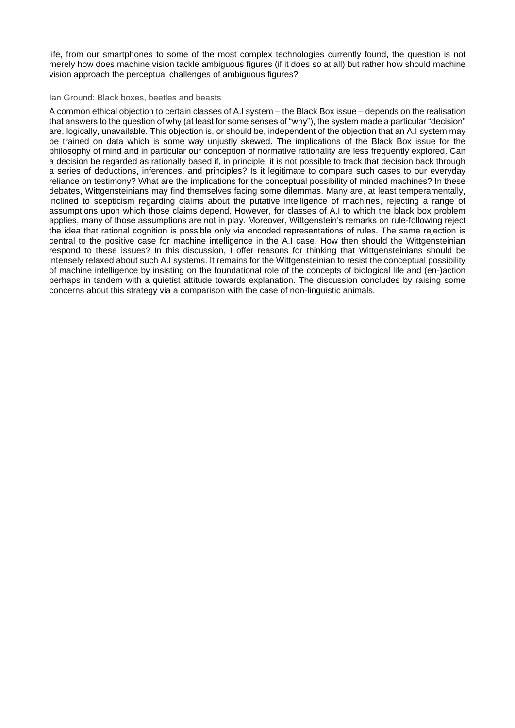life, from our smartphones to some of the most complex technologies currently found, the question is not merely how does machine vision tackle ambiguous figures (if it does so at all) but rather how should machine vision approach the perceptual challenges of ambiguous figures?

#### Ian Ground: Black boxes, beetles and beasts

A common ethical objection to certain classes of A.I system – the Black Box issue – depends on the realisation that answers to the question of why (at least for some senses of "why"), the system made a particular "decision" are, logically, unavailable. This objection is, or should be, independent of the objection that an A.I system may be trained on data which is some way unjustly skewed. The implications of the Black Box issue for the philosophy of mind and in particular our conception of normative rationality are less frequently explored. Can a decision be regarded as rationally based if, in principle, it is not possible to track that decision back through a series of deductions, inferences, and principles? Is it legitimate to compare such cases to our everyday reliance on testimony? What are the implications for the conceptual possibility of minded machines? In these debates, Wittgensteinians may find themselves facing some dilemmas. Many are, at least temperamentally, inclined to scepticism regarding claims about the putative intelligence of machines, rejecting a range of assumptions upon which those claims depend. However, for classes of A.I to which the black box problem applies, many of those assumptions are not in play. Moreover, Wittgenstein's remarks on rule-following reject the idea that rational cognition is possible only via encoded representations of rules. The same rejection is central to the positive case for machine intelligence in the A.I case. How then should the Wittgensteinian respond to these issues? In this discussion, I offer reasons for thinking that Wittgensteinians should be intensely relaxed about such A.I systems. It remains for the Wittgensteinian to resist the conceptual possibility of machine intelligence by insisting on the foundational role of the concepts of biological life and (en-)action perhaps in tandem with a quietist attitude towards explanation. The discussion concludes by raising some concerns about this strategy via a comparison with the case of non-linguistic animals.